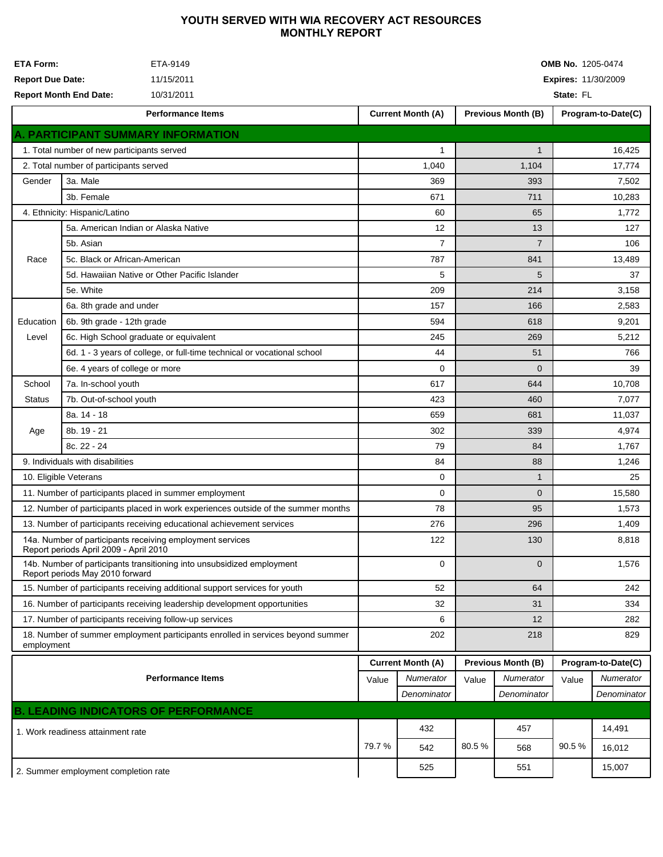## YOUTH SERVED WITH WIA RECOVERY ACT RESOURCES **MONTHLY REPORT**

| <b>ETA Form:</b><br>ETA-9149<br><b>Report Due Date:</b><br>11/15/2011<br><b>Report Month End Date:</b><br>10/31/2011 |                                               |                                                                           | <b>OMB No. 1205-0474</b><br><b>Expires: 11/30/2009</b><br>State: FL |                          |                           |                           |                    |                    |  |  |
|----------------------------------------------------------------------------------------------------------------------|-----------------------------------------------|---------------------------------------------------------------------------|---------------------------------------------------------------------|--------------------------|---------------------------|---------------------------|--------------------|--------------------|--|--|
|                                                                                                                      |                                               | <b>Performance Items</b>                                                  |                                                                     | <b>Current Month (A)</b> |                           | <b>Previous Month (B)</b> |                    | Program-to-Date(C) |  |  |
|                                                                                                                      |                                               | A. PARTICIPANT SUMMARY INFORMATION                                        |                                                                     |                          |                           |                           |                    |                    |  |  |
| 1. Total number of new participants served                                                                           |                                               |                                                                           |                                                                     | 1                        |                           | $\mathbf{1}$              |                    | 16,425             |  |  |
| 2. Total number of participants served                                                                               |                                               |                                                                           |                                                                     | 1,040<br>1,104           |                           |                           | 17,774             |                    |  |  |
| 3a. Male<br>Gender<br>3b. Female                                                                                     |                                               |                                                                           |                                                                     | 369                      |                           | 393                       | 7,502              |                    |  |  |
|                                                                                                                      |                                               | 671                                                                       |                                                                     | 711                      |                           | 10,283                    |                    |                    |  |  |
| 4. Ethnicity: Hispanic/Latino                                                                                        |                                               |                                                                           |                                                                     | 60                       |                           | 65                        |                    | 1,772              |  |  |
|                                                                                                                      | 5a. American Indian or Alaska Native          |                                                                           |                                                                     | 12                       |                           | 13                        |                    | 127                |  |  |
|                                                                                                                      | 5b. Asian                                     |                                                                           | $\overline{7}$                                                      |                          | $\overline{7}$            |                           | 106                |                    |  |  |
| Race                                                                                                                 | 5c. Black or African-American                 |                                                                           | 787                                                                 |                          | 841                       |                           | 13,489             |                    |  |  |
|                                                                                                                      | 5d. Hawaiian Native or Other Pacific Islander |                                                                           | 5                                                                   |                          | 5                         |                           | 37                 |                    |  |  |
|                                                                                                                      | 5e. White                                     |                                                                           |                                                                     | 209                      |                           | 214                       |                    | 3,158              |  |  |
|                                                                                                                      | 6a. 8th grade and under                       |                                                                           | 157                                                                 |                          | 166                       |                           | 2,583              |                    |  |  |
| Education                                                                                                            |                                               | 6b. 9th grade - 12th grade                                                |                                                                     | 594                      |                           | 618                       |                    | 9,201              |  |  |
| Level                                                                                                                |                                               | 6c. High School graduate or equivalent                                    |                                                                     | 245                      |                           | 269                       |                    | 5,212              |  |  |
|                                                                                                                      |                                               | 6d. 1 - 3 years of college, or full-time technical or vocational school   |                                                                     | 44                       |                           | 51                        |                    | 766                |  |  |
|                                                                                                                      | 6e. 4 years of college or more                |                                                                           |                                                                     | $\Omega$                 |                           | $\Omega$                  |                    | 39                 |  |  |
| School                                                                                                               | 7a. In-school youth                           |                                                                           | 617                                                                 |                          | 644                       |                           | 10,708             |                    |  |  |
| <b>Status</b>                                                                                                        |                                               | 7b. Out-of-school youth                                                   |                                                                     | 423                      |                           | 460                       |                    | 7,077              |  |  |
|                                                                                                                      | 8a. 14 - 18                                   |                                                                           |                                                                     | 659                      |                           | 681                       |                    | 11,037             |  |  |
| Age                                                                                                                  | 8b. 19 - 21                                   |                                                                           |                                                                     | 302                      |                           | 339                       |                    | 4,974              |  |  |
|                                                                                                                      | 8c. 22 - 24                                   |                                                                           |                                                                     | 79                       |                           | 84                        |                    | 1,767              |  |  |
|                                                                                                                      | 9. Individuals with disabilities              |                                                                           | 84                                                                  |                          | 88                        |                           | 1,246              |                    |  |  |
|                                                                                                                      | 10. Eligible Veterans                         |                                                                           | 0                                                                   |                          | $\mathbf{1}$              |                           | 25                 |                    |  |  |
|                                                                                                                      |                                               | 11. Number of participants placed in summer employment                    | 0                                                                   |                          | $\overline{0}$            |                           | 15,580             |                    |  |  |
| 12. Number of participants placed in work experiences outside of the summer months                                   |                                               |                                                                           | 78                                                                  |                          | 95                        |                           | 1,573              |                    |  |  |
|                                                                                                                      |                                               | 13. Number of participants receiving educational achievement services     | 276                                                                 |                          | 296                       |                           | 1,409              |                    |  |  |
| 14a. Number of participants receiving employment services<br>Report periods April 2009 - April 2010                  |                                               |                                                                           | 122                                                                 |                          | 130                       |                           | 8,818              |                    |  |  |
| 14b. Number of participants transitioning into unsubsidized employment<br>Report periods May 2010 forward            |                                               |                                                                           |                                                                     | $\mathbf 0$              |                           | $\overline{0}$            |                    | 1,576              |  |  |
| 15. Number of participants receiving additional support services for youth                                           |                                               |                                                                           |                                                                     | 52                       |                           | 64                        |                    | 242                |  |  |
|                                                                                                                      |                                               | 16. Number of participants receiving leadership development opportunities | 32                                                                  |                          | 31                        |                           | 334                |                    |  |  |
| 17. Number of participants receiving follow-up services                                                              |                                               |                                                                           |                                                                     | 6                        |                           | 12                        |                    | 282                |  |  |
| 18. Number of summer employment participants enrolled in services beyond summer<br>employment                        |                                               |                                                                           |                                                                     | 202                      |                           | 218                       |                    | 829                |  |  |
|                                                                                                                      |                                               |                                                                           | <b>Current Month (A)</b>                                            |                          | <b>Previous Month (B)</b> |                           | Program-to-Date(C) |                    |  |  |
| <b>Performance Items</b>                                                                                             |                                               |                                                                           |                                                                     | Numerator                | Value                     | Numerator                 | Value              | Numerator          |  |  |
|                                                                                                                      |                                               |                                                                           |                                                                     | Denominator              |                           | Denominator               |                    | Denominator        |  |  |
|                                                                                                                      |                                               | <b>B. LEADING INDICATORS OF PERFORMANCE</b>                               |                                                                     |                          |                           |                           |                    |                    |  |  |
| 1. Work readiness attainment rate                                                                                    |                                               |                                                                           |                                                                     | 432                      |                           | 457                       |                    | 14,491             |  |  |
|                                                                                                                      |                                               |                                                                           | 79.7 %                                                              | 542                      | 80.5%                     | 568                       | 90.5%              | 16,012             |  |  |
| 2. Summer employment completion rate                                                                                 |                                               |                                                                           |                                                                     | 525                      |                           | 551                       |                    | 15,007             |  |  |